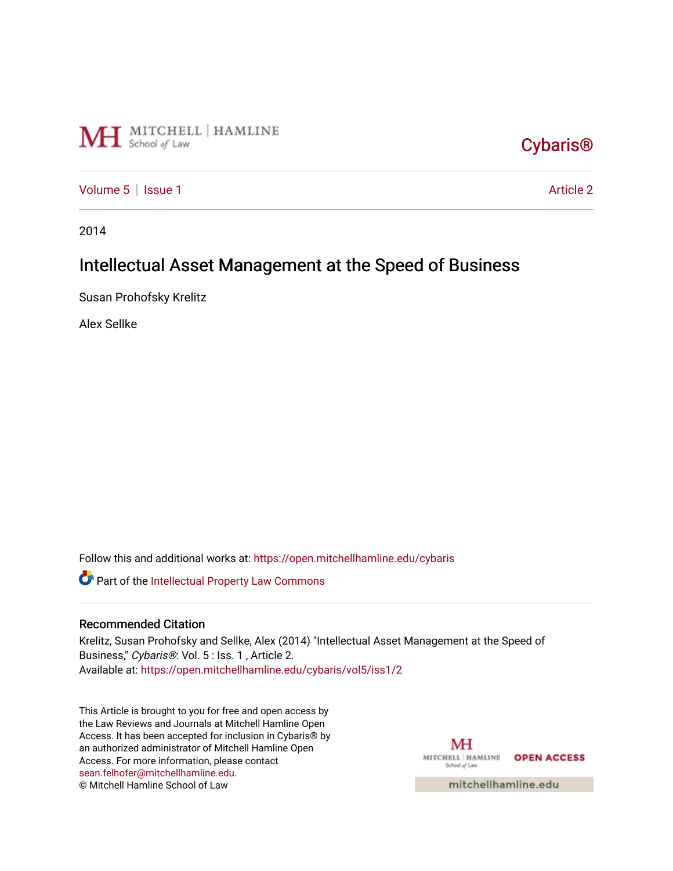

# [Cybaris®](https://open.mitchellhamline.edu/cybaris)

[Volume 5](https://open.mitchellhamline.edu/cybaris/vol5) | [Issue 1](https://open.mitchellhamline.edu/cybaris/vol5/iss1) Article 2

2014

## Intellectual Asset Management at the Speed of Business

Susan Prohofsky Krelitz

Alex Sellke

Follow this and additional works at: [https://open.mitchellhamline.edu/cybaris](https://open.mitchellhamline.edu/cybaris?utm_source=open.mitchellhamline.edu%2Fcybaris%2Fvol5%2Fiss1%2F2&utm_medium=PDF&utm_campaign=PDFCoverPages) 

Part of the [Intellectual Property Law Commons](http://network.bepress.com/hgg/discipline/896?utm_source=open.mitchellhamline.edu%2Fcybaris%2Fvol5%2Fiss1%2F2&utm_medium=PDF&utm_campaign=PDFCoverPages) 

#### Recommended Citation

Krelitz, Susan Prohofsky and Sellke, Alex (2014) "Intellectual Asset Management at the Speed of Business," Cybaris®: Vol. 5 : Iss. 1 , Article 2. Available at: [https://open.mitchellhamline.edu/cybaris/vol5/iss1/2](https://open.mitchellhamline.edu/cybaris/vol5/iss1/2?utm_source=open.mitchellhamline.edu%2Fcybaris%2Fvol5%2Fiss1%2F2&utm_medium=PDF&utm_campaign=PDFCoverPages)

This Article is brought to you for free and open access by the Law Reviews and Journals at Mitchell Hamline Open Access. It has been accepted for inclusion in Cybaris® by an authorized administrator of Mitchell Hamline Open Access. For more information, please contact [sean.felhofer@mitchellhamline.edu](mailto:sean.felhofer@mitchellhamline.edu). © Mitchell Hamline School of Law

MH MITCHELL | HAMLINE OPEN ACCESS School of Law

mitchellhamline.edu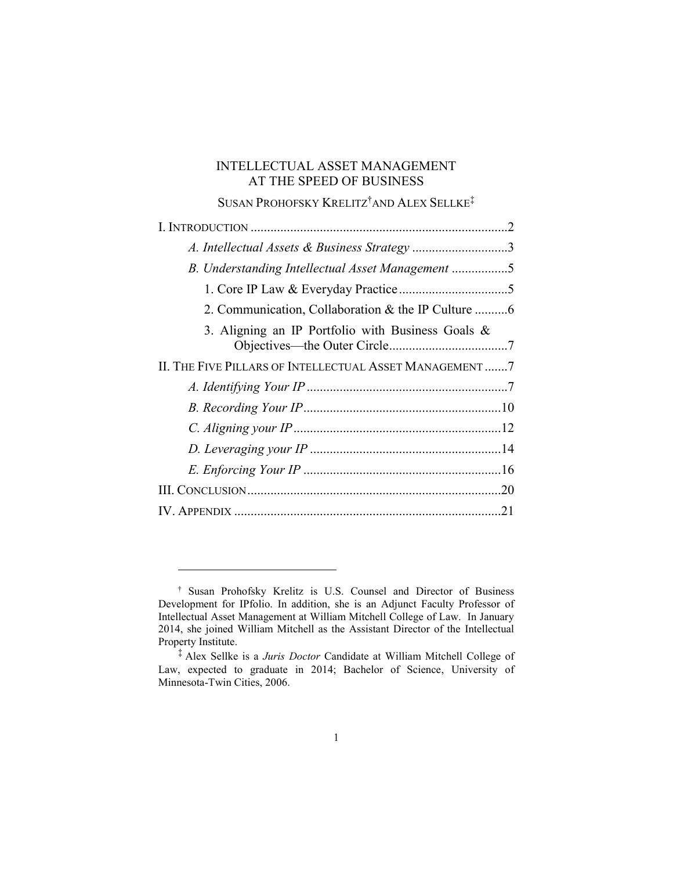## INTELLECTUAL ASSET MANAGEMENT AT THE SPEED OF BUSINESS

## SUSAN PROHOFSKY KRELITZ†AND ALEX SELLKE‡

|                                                        | .2 |
|--------------------------------------------------------|----|
| A. Intellectual Assets & Business Strategy 3           |    |
| B. Understanding Intellectual Asset Management 5       |    |
|                                                        |    |
|                                                        |    |
| 3. Aligning an IP Portfolio with Business Goals $\&$   |    |
| II. THE FIVE PILLARS OF INTELLECTUAL ASSET MANAGEMENT7 |    |
|                                                        |    |
|                                                        |    |
|                                                        |    |
|                                                        |    |
|                                                        |    |
|                                                        |    |
|                                                        |    |

<sup>†</sup> Susan Prohofsky Krelitz is U.S. Counsel and Director of Business Development for IPfolio. In addition, she is an Adjunct Faculty Professor of Intellectual Asset Management at William Mitchell College of Law. In January 2014, she joined William Mitchell as the Assistant Director of the Intellectual Property Institute.

<sup>‡</sup> Alex Sellke is a *Juris Doctor* Candidate at William Mitchell College of Law, expected to graduate in 2014; Bachelor of Science, University of Minnesota-Twin Cities, 2006.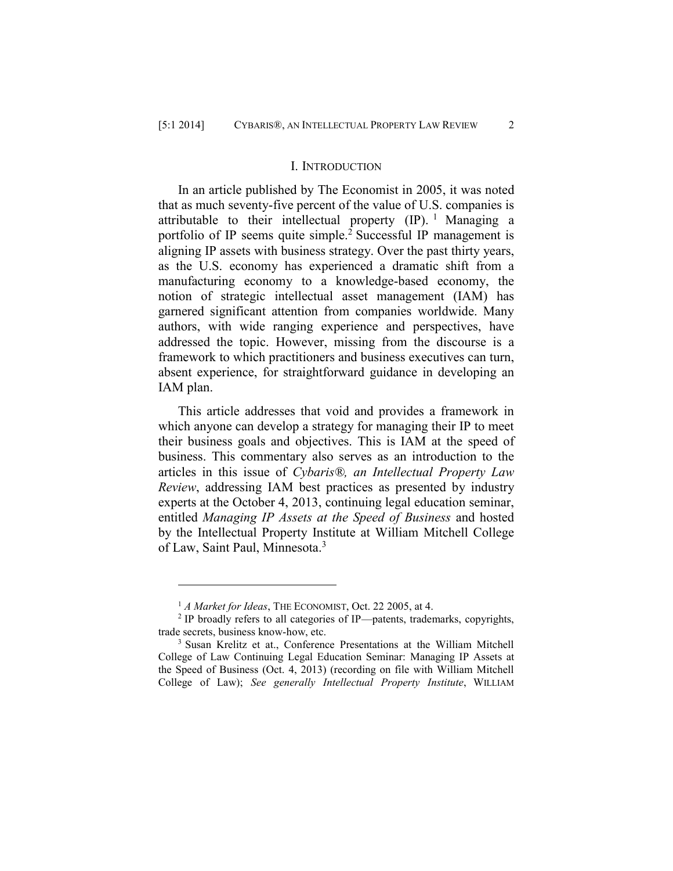#### I. INTRODUCTION

In an article published by The Economist in 2005, it was noted that as much seventy-five percent of the value of U.S. companies is attributable to their intellectual property  $(IP)$ . <sup>1</sup> Managing a portfolio of IP seems quite simple.<sup>2</sup> Successful IP management is aligning IP assets with business strategy. Over the past thirty years, as the U.S. economy has experienced a dramatic shift from a manufacturing economy to a knowledge-based economy, the notion of strategic intellectual asset management (IAM) has garnered significant attention from companies worldwide. Many authors, with wide ranging experience and perspectives, have addressed the topic. However, missing from the discourse is a framework to which practitioners and business executives can turn, absent experience, for straightforward guidance in developing an IAM plan.

This article addresses that void and provides a framework in which anyone can develop a strategy for managing their IP to meet their business goals and objectives. This is IAM at the speed of business. This commentary also serves as an introduction to the articles in this issue of *Cybaris®, an Intellectual Property Law Review*, addressing IAM best practices as presented by industry experts at the October 4, 2013, continuing legal education seminar, entitled *Managing IP Assets at the Speed of Business* and hosted by the Intellectual Property Institute at William Mitchell College of Law, Saint Paul, Minnesota.<sup>3</sup>

<sup>&</sup>lt;sup>1</sup> *A Market for Ideas*, THE ECONOMIST, Oct. 22 2005, at 4.

<sup>&</sup>lt;sup>2</sup> IP broadly refers to all categories of IP—patents, trademarks, copyrights, trade secrets, business know-how, etc.

<sup>3</sup> Susan Krelitz et at., Conference Presentations at the William Mitchell College of Law Continuing Legal Education Seminar: Managing IP Assets at the Speed of Business (Oct. 4, 2013) (recording on file with William Mitchell College of Law); *See generally Intellectual Property Institute*, WILLIAM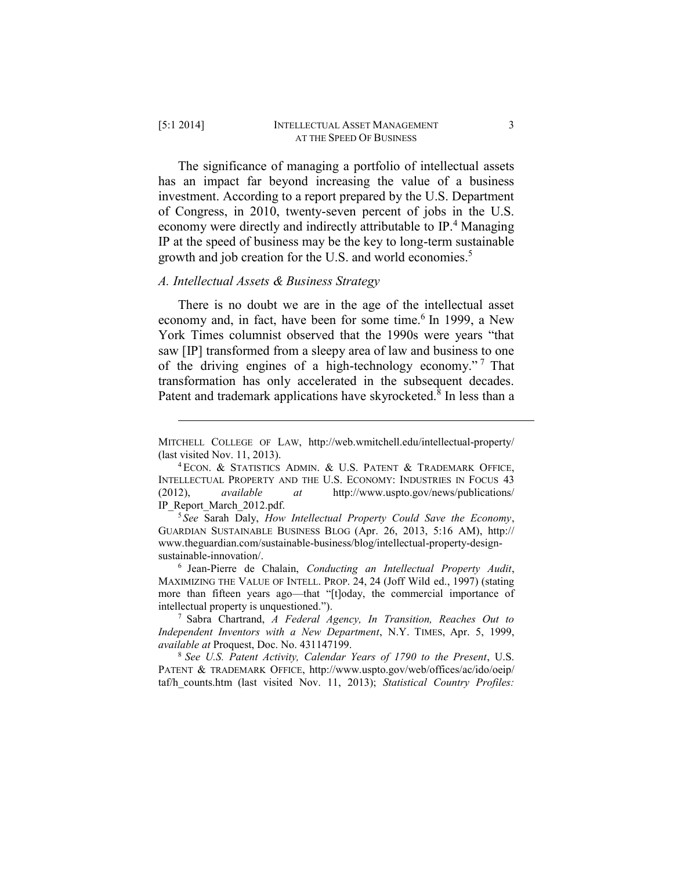The significance of managing a portfolio of intellectual assets has an impact far beyond increasing the value of a business investment. According to a report prepared by the U.S. Department of Congress, in 2010, twenty-seven percent of jobs in the U.S. economy were directly and indirectly attributable to IP.<sup>4</sup> Managing IP at the speed of business may be the key to long-term sustainable growth and job creation for the U.S. and world economies. 5

#### *A. Intellectual Assets & Business Strategy*

There is no doubt we are in the age of the intellectual asset economy and, in fact, have been for some time.<sup>6</sup> In 1999, a New York Times columnist observed that the 1990s were years "that saw [IP] transformed from a sleepy area of law and business to one of the driving engines of a high-technology economy." <sup>7</sup> That transformation has only accelerated in the subsequent decades. Patent and trademark applications have skyrocketed.<sup>8</sup> In less than a

MITCHELL COLLEGE OF LAW, http://web.wmitchell.edu/intellectual-property/ (last visited Nov. 11, 2013).

<sup>4</sup> ECON. & STATISTICS ADMIN. & U.S. PATENT & TRADEMARK OFFICE, INTELLECTUAL PROPERTY AND THE U.S. ECONOMY: INDUSTRIES IN FOCUS 43 (2012), *available at* http://www.uspto.gov/news/publications/ IP\_Report\_March\_2012.pdf.

<sup>5</sup> *See* Sarah Daly, *How Intellectual Property Could Save the Economy*, GUARDIAN SUSTAINABLE BUSINESS BLOG (Apr. 26, 2013, 5:16 AM), http:// www.theguardian.com/sustainable-business/blog/intellectual-property-designsustainable-innovation/.

<sup>6</sup> Jean-Pierre de Chalain, *Conducting an Intellectual Property Audit*, MAXIMIZING THE VALUE OF INTELL. PROP. 24, 24 (Joff Wild ed., 1997) (stating more than fifteen years ago—that "[t]oday, the commercial importance of intellectual property is unquestioned.").

<sup>7</sup> Sabra Chartrand, *A Federal Agency, In Transition, Reaches Out to Independent Inventors with a New Department*, N.Y. TIMES, Apr. 5, 1999, *available at* Proquest, Doc. No. 431147199.

<sup>8</sup> *See U.S. Patent Activity, Calendar Years of 1790 to the Present*, U.S. PATENT & TRADEMARK OFFICE, http://www.uspto.gov/web/offices/ac/ido/oeip/ taf/h\_counts.htm (last visited Nov. 11, 2013); *Statistical Country Profiles:*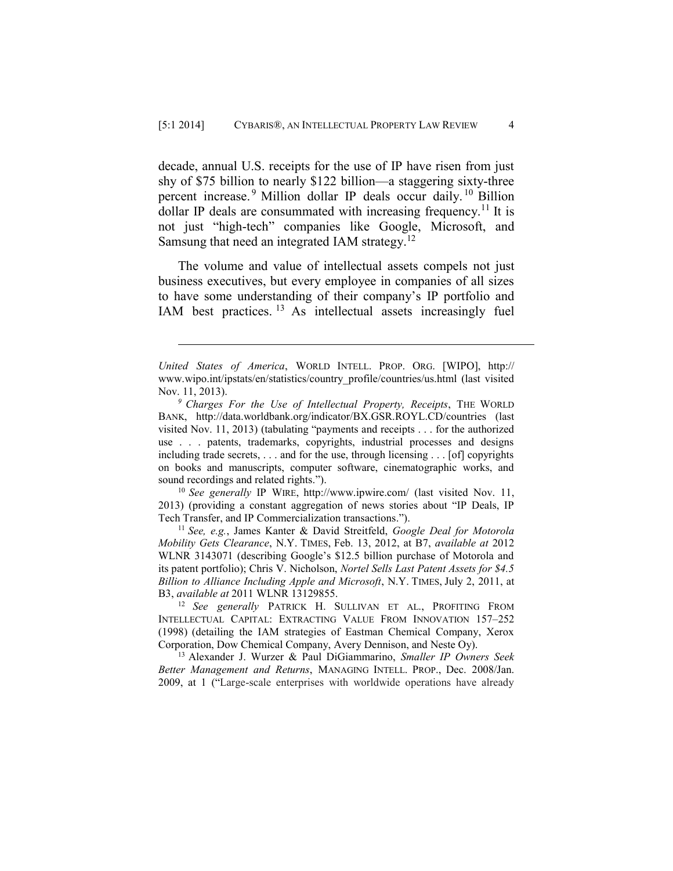decade, annual U.S. receipts for the use of IP have risen from just shy of \$75 billion to nearly \$122 billion—a staggering sixty-three percent increase.<sup>9</sup> Million dollar IP deals occur daily.<sup>10</sup> Billion dollar IP deals are consummated with increasing frequency.<sup>11</sup> It is not just "high-tech" companies like Google, Microsoft, and Samsung that need an integrated IAM strategy.<sup>12</sup>

The volume and value of intellectual assets compels not just business executives, but every employee in companies of all sizes to have some understanding of their company's IP portfolio and IAM best practices.<sup>13</sup> As intellectual assets increasingly fuel

 $\overline{a}$ 

<sup>10</sup> *See generally* IP WIRE, http://www.ipwire.com/ (last visited Nov. 11, 2013) (providing a constant aggregation of news stories about "IP Deals, IP Tech Transfer, and IP Commercialization transactions.").

<sup>11</sup> *See, e.g.*, James Kanter & David Streitfeld, *Google Deal for Motorola Mobility Gets Clearance*, N.Y. TIMES, Feb. 13, 2012, at B7, *available at* 2012 WLNR 3143071 (describing Google's \$12.5 billion purchase of Motorola and its patent portfolio); Chris V. Nicholson, *Nortel Sells Last Patent Assets for \$4.5 Billion to Alliance Including Apple and Microsoft*, N.Y. TIMES, July 2, 2011, at B3, *available at* 2011 WLNR 13129855.

<sup>12</sup> *See generally* PATRICK H. SULLIVAN ET AL., PROFITING FROM INTELLECTUAL CAPITAL: EXTRACTING VALUE FROM INNOVATION 157–252 (1998) (detailing the IAM strategies of Eastman Chemical Company, Xerox Corporation, Dow Chemical Company, Avery Dennison, and Neste Oy).

<sup>13</sup> Alexander J. Wurzer & Paul DiGiammarino, *Smaller IP Owners Seek Better Management and Returns*, MANAGING INTELL. PROP., Dec. 2008/Jan. 2009, at 1 ("Large-scale enterprises with worldwide operations have already

*United States of America*, WORLD INTELL. PROP. ORG. [WIPO], http:// www.wipo.int/ipstats/en/statistics/country\_profile/countries/us.html (last visited Nov. 11, 2013).

*<sup>9</sup> Charges For the Use of Intellectual Property, Receipts*, THE WORLD BANK, http://data.worldbank.org/indicator/BX.GSR.ROYL.CD/countries (last visited Nov. 11, 2013) (tabulating "payments and receipts . . . for the authorized use . . . patents, trademarks, copyrights, industrial processes and designs including trade secrets, . . . and for the use, through licensing . . . [of] copyrights on books and manuscripts, computer software, cinematographic works, and sound recordings and related rights.").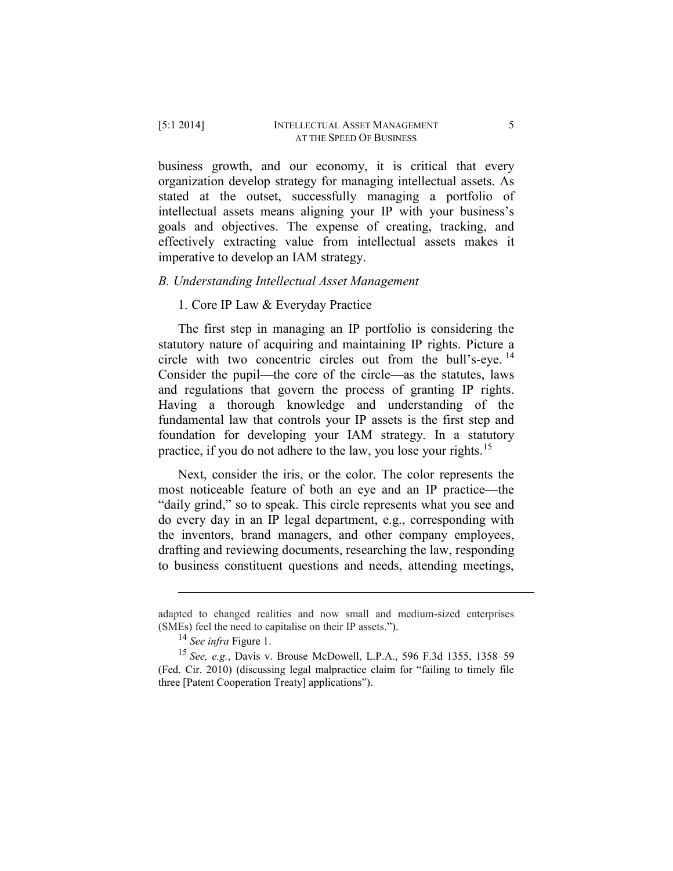# business growth, and our economy, it is critical that every

organization develop strategy for managing intellectual assets. As stated at the outset, successfully managing a portfolio of intellectual assets means aligning your IP with your business's goals and objectives. The expense of creating, tracking, and effectively extracting value from intellectual assets makes it imperative to develop an IAM strategy.

## *B. Understanding Intellectual Asset Management*

## 1. Core IP Law & Everyday Practice

The first step in managing an IP portfolio is considering the statutory nature of acquiring and maintaining IP rights. Picture a circle with two concentric circles out from the bull's-eye. 14 Consider the pupil—the core of the circle—as the statutes, laws and regulations that govern the process of granting IP rights. Having a thorough knowledge and understanding of the fundamental law that controls your IP assets is the first step and foundation for developing your IAM strategy. In a statutory practice, if you do not adhere to the law, you lose your rights.<sup>15</sup>

Next, consider the iris, or the color. The color represents the most noticeable feature of both an eye and an IP practice—the "daily grind," so to speak. This circle represents what you see and do every day in an IP legal department, e.g., corresponding with the inventors, brand managers, and other company employees, drafting and reviewing documents, researching the law, responding to business constituent questions and needs, attending meetings,

adapted to changed realities and now small and medium-sized enterprises (SMEs) feel the need to capitalise on their IP assets.").

<sup>14</sup> *See infra* Figure 1.

<sup>15</sup> *See, e.g.*, Davis v. Brouse McDowell, L.P.A., 596 F.3d 1355, 1358–59 (Fed. Cir. 2010) (discussing legal malpractice claim for "failing to timely file three [Patent Cooperation Treaty] applications").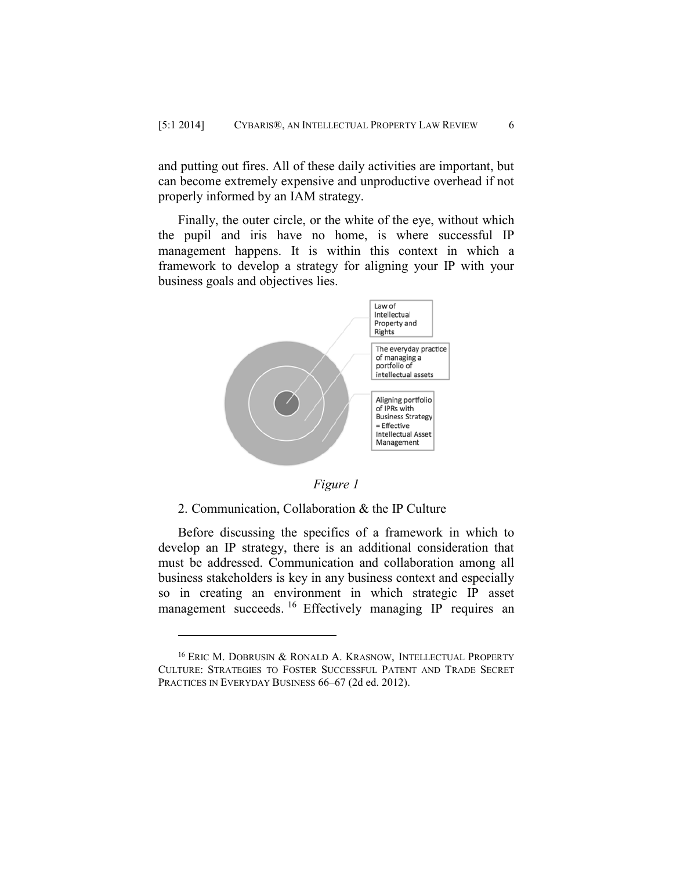and putting out fires. All of these daily activities are important, but can become extremely expensive and unproductive overhead if not properly informed by an IAM strategy.

Finally, the outer circle, or the white of the eye, without which the pupil and iris have no home, is where successful IP management happens. It is within this context in which a framework to develop a strategy for aligning your IP with your business goals and objectives lies.



*Figure 1*

#### 2. Communication, Collaboration & the IP Culture

 $\overline{a}$ 

Before discussing the specifics of a framework in which to develop an IP strategy, there is an additional consideration that must be addressed. Communication and collaboration among all business stakeholders is key in any business context and especially so in creating an environment in which strategic IP asset management succeeds.<sup>16</sup> Effectively managing IP requires an

<sup>&</sup>lt;sup>16</sup> ERIC M. DOBRUSIN & RONALD A. KRASNOW, INTELLECTUAL PROPERTY CULTURE: STRATEGIES TO FOSTER SUCCESSFUL PATENT AND TRADE SECRET PRACTICES IN EVERYDAY BUSINESS 66–67 (2d ed. 2012).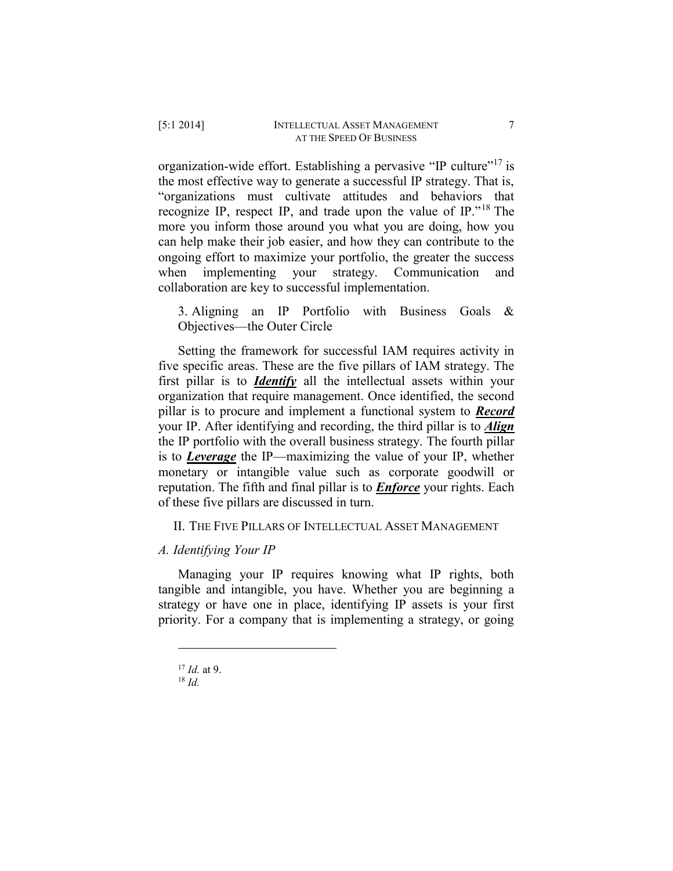organization-wide effort. Establishing a pervasive "IP culture"<sup>17</sup> is the most effective way to generate a successful IP strategy. That is, "organizations must cultivate attitudes and behaviors that recognize IP, respect IP, and trade upon the value of IP."<sup>18</sup> The more you inform those around you what you are doing, how you can help make their job easier, and how they can contribute to the ongoing effort to maximize your portfolio, the greater the success when implementing your strategy. Communication and collaboration are key to successful implementation.

3. Aligning an IP Portfolio with Business Goals & Objectives—the Outer Circle

Setting the framework for successful IAM requires activity in five specific areas. These are the five pillars of IAM strategy. The first pillar is to *Identify* all the intellectual assets within your organization that require management. Once identified, the second pillar is to procure and implement a functional system to *Record* your IP. After identifying and recording, the third pillar is to *Align* the IP portfolio with the overall business strategy. The fourth pillar is to *Leverage* the IP—maximizing the value of your IP, whether monetary or intangible value such as corporate goodwill or reputation. The fifth and final pillar is to *Enforce* your rights. Each of these five pillars are discussed in turn.

II. THE FIVE PILLARS OF INTELLECTUAL ASSET MANAGEMENT

## *A. Identifying Your IP*

Managing your IP requires knowing what IP rights, both tangible and intangible, you have. Whether you are beginning a strategy or have one in place, identifying IP assets is your first priority. For a company that is implementing a strategy, or going

<sup>17</sup> *Id.* at 9.

 $18$  *Id.*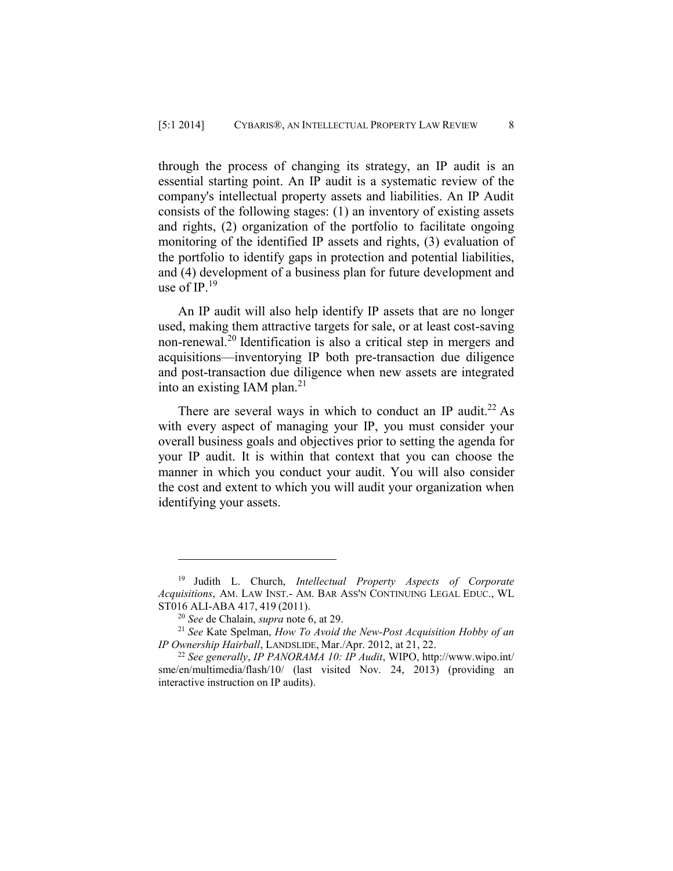through the process of changing its strategy, an IP audit is an essential starting point. An IP audit is a systematic review of the company's intellectual property assets and liabilities. An IP Audit consists of the following stages: (1) an inventory of existing assets and rights, (2) organization of the portfolio to facilitate ongoing monitoring of the identified IP assets and rights, (3) evaluation of the portfolio to identify gaps in protection and potential liabilities, and (4) development of a business plan for future development and use of IP. 19

An IP audit will also help identify IP assets that are no longer used, making them attractive targets for sale, or at least cost-saving non-renewal.<sup>20</sup> Identification is also a critical step in mergers and acquisitions—inventorying IP both pre-transaction due diligence and post-transaction due diligence when new assets are integrated into an existing IAM plan. $^{21}$ 

There are several ways in which to conduct an IP audit.<sup>22</sup> As with every aspect of managing your IP, you must consider your overall business goals and objectives prior to setting the agenda for your IP audit. It is within that context that you can choose the manner in which you conduct your audit. You will also consider the cost and extent to which you will audit your organization when identifying your assets.

<sup>19</sup> Judith L. Church, *Intellectual Property Aspects of Corporate Acquisitions*, AM. LAW INST.- AM. BAR ASS'N CONTINUING LEGAL EDUC., WL ST016 ALI-ABA 417, 419 (2011).

<sup>20</sup> *See* de Chalain, *supra* note 6, at 29.

<sup>21</sup> *See* Kate Spelman, *How To Avoid the New-Post Acquisition Hobby of an IP Ownership Hairball*, LANDSLIDE, Mar./Apr. 2012, at 21, 22.

<sup>22</sup> *See generally*, *IP PANORAMA 10: IP Audit*, WIPO, http://www.wipo.int/ sme/en/multimedia/flash/10/ (last visited Nov. 24, 2013) (providing an interactive instruction on IP audits).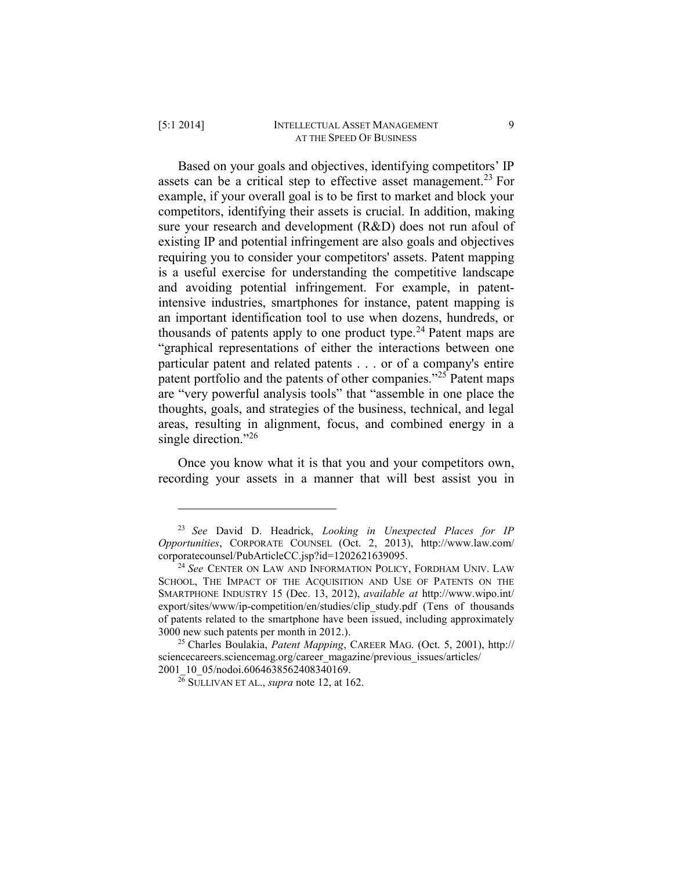#### [5:1 2014] INTELLECTUAL ASSET MANAGEMENT 9 AT THE SPEED OF BUSINESS

Based on your goals and objectives, identifying competitors' IP assets can be a critical step to effective asset management.<sup>23</sup> For example, if your overall goal is to be first to market and block your competitors, identifying their assets is crucial. In addition, making sure your research and development (R&D) does not run afoul of existing IP and potential infringement are also goals and objectives requiring you to consider your competitors' assets. Patent mapping is a useful exercise for understanding the competitive landscape and avoiding potential infringement. For example, in patentintensive industries, smartphones for instance, patent mapping is an important identification tool to use when dozens, hundreds, or thousands of patents apply to one product type.<sup>24</sup> Patent maps are "graphical representations of either the interactions between one particular patent and related patents . . . or of a company's entire patent portfolio and the patents of other companies."<sup>25</sup> Patent maps are "very powerful analysis tools" that "assemble in one place the thoughts, goals, and strategies of the business, technical, and legal areas, resulting in alignment, focus, and combined energy in a single direction."<sup>26</sup>

Once you know what it is that you and your competitors own, recording your assets in a manner that will best assist you in

<sup>23</sup> *See* David D. Headrick, *Looking in Unexpected Places for IP Opportunities*, CORPORATE COUNSEL (Oct. 2, 2013), http://www.law.com/ corporatecounsel/PubArticleCC.jsp?id=1202621639095.

<sup>24</sup> *See* CENTER ON LAW AND INFORMATION POLICY, FORDHAM UNIV. LAW SCHOOL, THE IMPACT OF THE ACQUISITION AND USE OF PATENTS ON THE SMARTPHONE INDUSTRY 15 (Dec. 13, 2012), *available at* http://www.wipo.int/ export/sites/www/ip-competition/en/studies/clip\_study.pdf (Tens of thousands of patents related to the smartphone have been issued, including approximately 3000 new such patents per month in 2012.).

<sup>25</sup> Charles Boulakia, *Patent Mapping*, CAREER MAG. (Oct. 5, 2001), http:// sciencecareers.sciencemag.org/career\_magazine/previous\_issues/articles/ 2001\_10\_05/nodoi.6064638562408340169.

 $\frac{26}{6}$  SULLIVAN ET AL., *supra* note 12, at 162.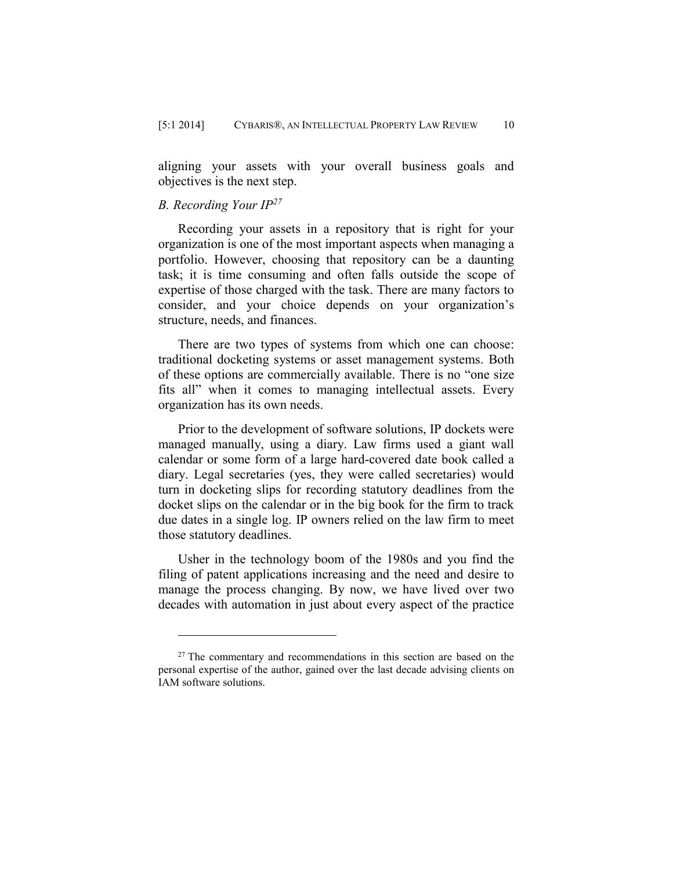aligning your assets with your overall business goals and objectives is the next step.

## *B. Recording Your IP<sup>27</sup>*

 $\overline{a}$ 

Recording your assets in a repository that is right for your organization is one of the most important aspects when managing a portfolio. However, choosing that repository can be a daunting task; it is time consuming and often falls outside the scope of expertise of those charged with the task. There are many factors to consider, and your choice depends on your organization's structure, needs, and finances.

There are two types of systems from which one can choose: traditional docketing systems or asset management systems. Both of these options are commercially available. There is no "one size fits all" when it comes to managing intellectual assets. Every organization has its own needs.

Prior to the development of software solutions, IP dockets were managed manually, using a diary. Law firms used a giant wall calendar or some form of a large hard-covered date book called a diary. Legal secretaries (yes, they were called secretaries) would turn in docketing slips for recording statutory deadlines from the docket slips on the calendar or in the big book for the firm to track due dates in a single log. IP owners relied on the law firm to meet those statutory deadlines.

Usher in the technology boom of the 1980s and you find the filing of patent applications increasing and the need and desire to manage the process changing. By now, we have lived over two decades with automation in just about every aspect of the practice

<sup>&</sup>lt;sup>27</sup> The commentary and recommendations in this section are based on the personal expertise of the author, gained over the last decade advising clients on IAM software solutions.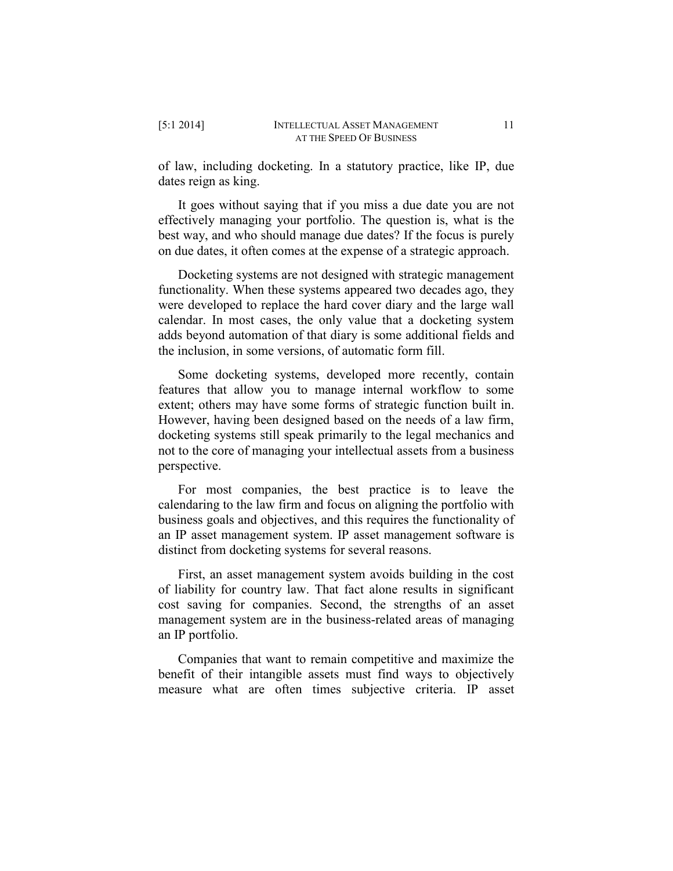of law, including docketing. In a statutory practice, like IP, due dates reign as king.

It goes without saying that if you miss a due date you are not effectively managing your portfolio. The question is, what is the best way, and who should manage due dates? If the focus is purely on due dates, it often comes at the expense of a strategic approach.

Docketing systems are not designed with strategic management functionality. When these systems appeared two decades ago, they were developed to replace the hard cover diary and the large wall calendar. In most cases, the only value that a docketing system adds beyond automation of that diary is some additional fields and the inclusion, in some versions, of automatic form fill.

Some docketing systems, developed more recently, contain features that allow you to manage internal workflow to some extent; others may have some forms of strategic function built in. However, having been designed based on the needs of a law firm, docketing systems still speak primarily to the legal mechanics and not to the core of managing your intellectual assets from a business perspective.

For most companies, the best practice is to leave the calendaring to the law firm and focus on aligning the portfolio with business goals and objectives, and this requires the functionality of an IP asset management system. IP asset management software is distinct from docketing systems for several reasons.

First, an asset management system avoids building in the cost of liability for country law. That fact alone results in significant cost saving for companies. Second, the strengths of an asset management system are in the business-related areas of managing an IP portfolio.

Companies that want to remain competitive and maximize the benefit of their intangible assets must find ways to objectively measure what are often times subjective criteria. IP asset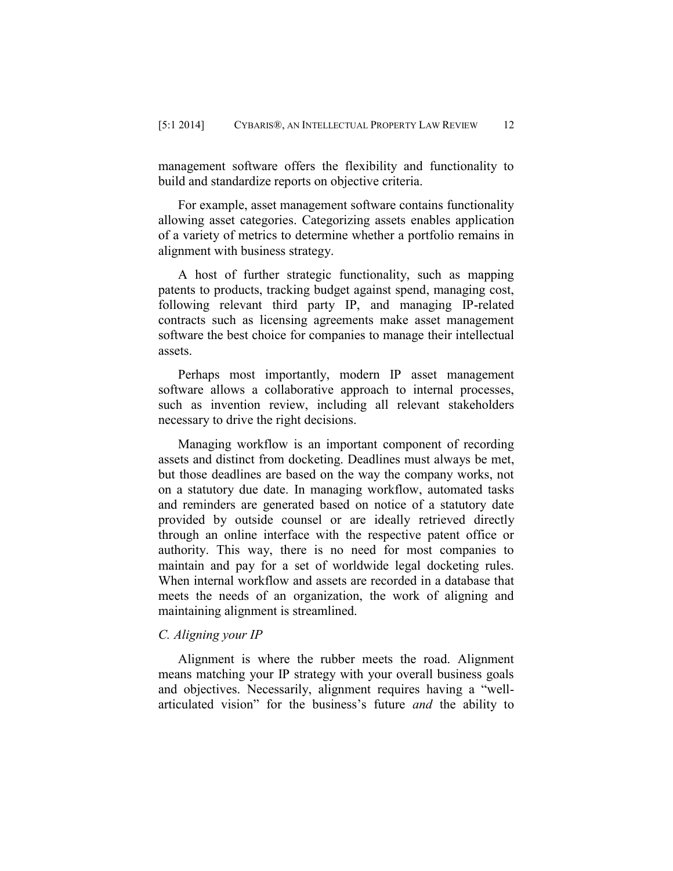management software offers the flexibility and functionality to build and standardize reports on objective criteria.

For example, asset management software contains functionality allowing asset categories. Categorizing assets enables application of a variety of metrics to determine whether a portfolio remains in alignment with business strategy.

A host of further strategic functionality, such as mapping patents to products, tracking budget against spend, managing cost, following relevant third party IP, and managing IP-related contracts such as licensing agreements make asset management software the best choice for companies to manage their intellectual assets.

Perhaps most importantly, modern IP asset management software allows a collaborative approach to internal processes, such as invention review, including all relevant stakeholders necessary to drive the right decisions.

Managing workflow is an important component of recording assets and distinct from docketing. Deadlines must always be met, but those deadlines are based on the way the company works, not on a statutory due date. In managing workflow, automated tasks and reminders are generated based on notice of a statutory date provided by outside counsel or are ideally retrieved directly through an online interface with the respective patent office or authority. This way, there is no need for most companies to maintain and pay for a set of worldwide legal docketing rules. When internal workflow and assets are recorded in a database that meets the needs of an organization, the work of aligning and maintaining alignment is streamlined.

## *C. Aligning your IP*

Alignment is where the rubber meets the road. Alignment means matching your IP strategy with your overall business goals and objectives. Necessarily, alignment requires having a "wellarticulated vision" for the business's future *and* the ability to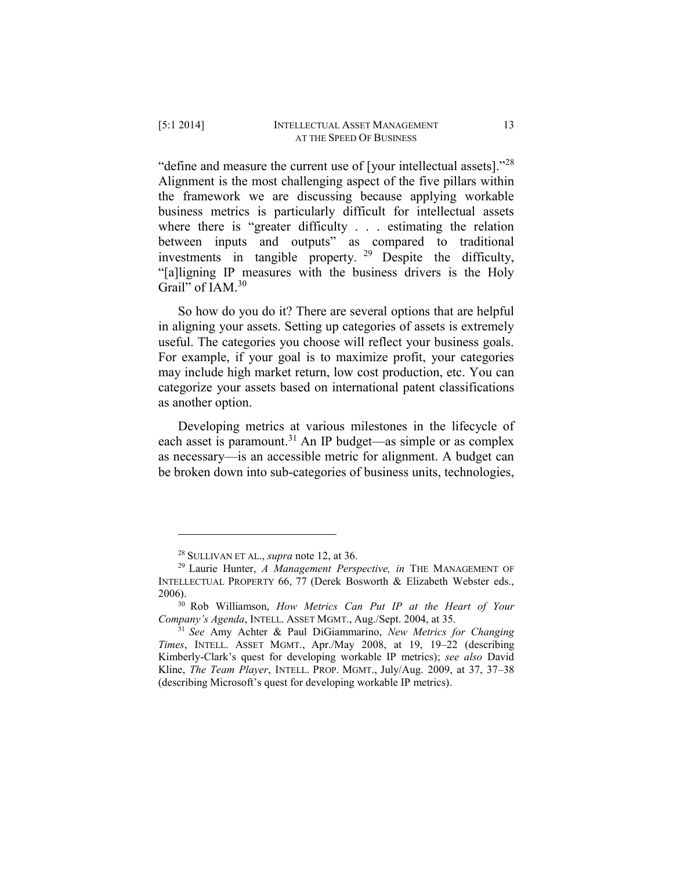"define and measure the current use of [your intellectual assets]."<sup>28</sup> Alignment is the most challenging aspect of the five pillars within the framework we are discussing because applying workable business metrics is particularly difficult for intellectual assets where there is "greater difficulty . . . estimating the relation between inputs and outputs" as compared to traditional investments in tangible property. <sup>29</sup> Despite the difficulty, "[a]ligning IP measures with the business drivers is the Holy Grail" of IAM.<sup>30</sup>

So how do you do it? There are several options that are helpful in aligning your assets. Setting up categories of assets is extremely useful. The categories you choose will reflect your business goals. For example, if your goal is to maximize profit, your categories may include high market return, low cost production, etc. You can categorize your assets based on international patent classifications as another option.

Developing metrics at various milestones in the lifecycle of each asset is paramount.<sup>31</sup> An IP budget—as simple or as complex as necessary—is an accessible metric for alignment. A budget can be broken down into sub-categories of business units, technologies,

<sup>28</sup> SULLIVAN ET AL., *supra* note 12, at 36.

<sup>29</sup> Laurie Hunter, *A Management Perspective, in* THE MANAGEMENT OF INTELLECTUAL PROPERTY 66, 77 (Derek Bosworth & Elizabeth Webster eds., 2006).

<sup>30</sup> Rob Williamson, *How Metrics Can Put IP at the Heart of Your Company's Agenda*, INTELL. ASSET MGMT., Aug./Sept. 2004, at 35.

<sup>31</sup> *See* Amy Achter & Paul DiGiammarino, *New Metrics for Changing Times*, INTELL. ASSET MGMT., Apr./May 2008, at 19, 19–22 (describing Kimberly-Clark's quest for developing workable IP metrics); *see also* David Kline, *The Team Player*, INTELL. PROP. MGMT., July/Aug. 2009, at 37, 37–38 (describing Microsoft's quest for developing workable IP metrics).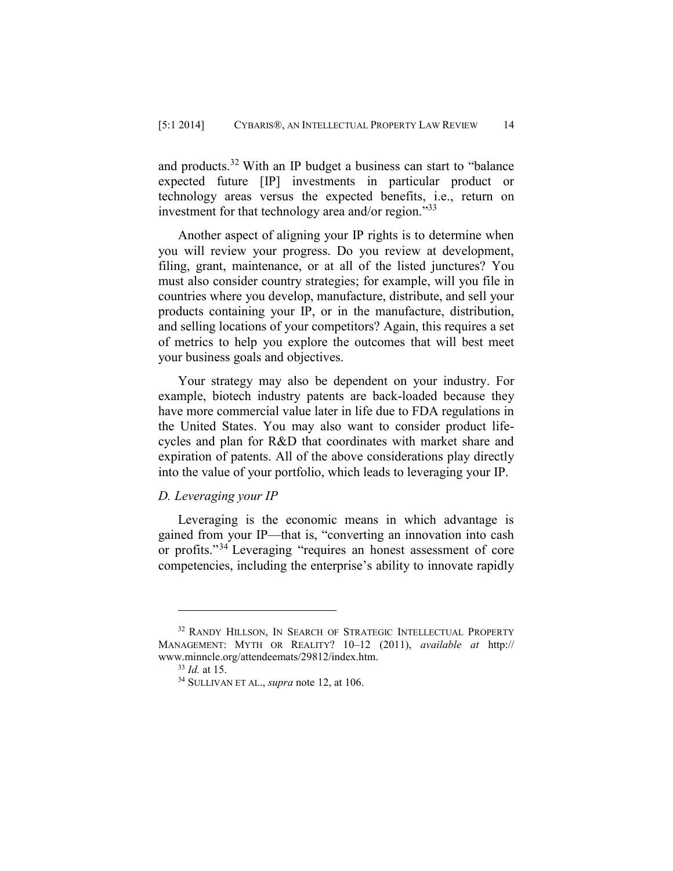and products.<sup>32</sup> With an IP budget a business can start to "balance" expected future [IP] investments in particular product or technology areas versus the expected benefits, i.e., return on investment for that technology area and/or region."<sup>33</sup>

Another aspect of aligning your IP rights is to determine when you will review your progress. Do you review at development, filing, grant, maintenance, or at all of the listed junctures? You must also consider country strategies; for example, will you file in countries where you develop, manufacture, distribute, and sell your products containing your IP, or in the manufacture, distribution, and selling locations of your competitors? Again, this requires a set of metrics to help you explore the outcomes that will best meet your business goals and objectives.

Your strategy may also be dependent on your industry. For example, biotech industry patents are back-loaded because they have more commercial value later in life due to FDA regulations in the United States. You may also want to consider product lifecycles and plan for R&D that coordinates with market share and expiration of patents. All of the above considerations play directly into the value of your portfolio, which leads to leveraging your IP.

## *D. Leveraging your IP*

Leveraging is the economic means in which advantage is gained from your IP—that is, "converting an innovation into cash or profits."<sup>34</sup> Leveraging "requires an honest assessment of core competencies, including the enterprise's ability to innovate rapidly

<sup>&</sup>lt;sup>32</sup> RANDY HILLSON, IN SEARCH OF STRATEGIC INTELLECTUAL PROPERTY MANAGEMENT: MYTH OR REALITY? 10–12 (2011), *available at* http:// www.minncle.org/attendeemats/29812/index.htm.

<sup>33</sup> *Id.* at 15.

<sup>34</sup> SULLIVAN ET AL., *supra* note 12, at 106.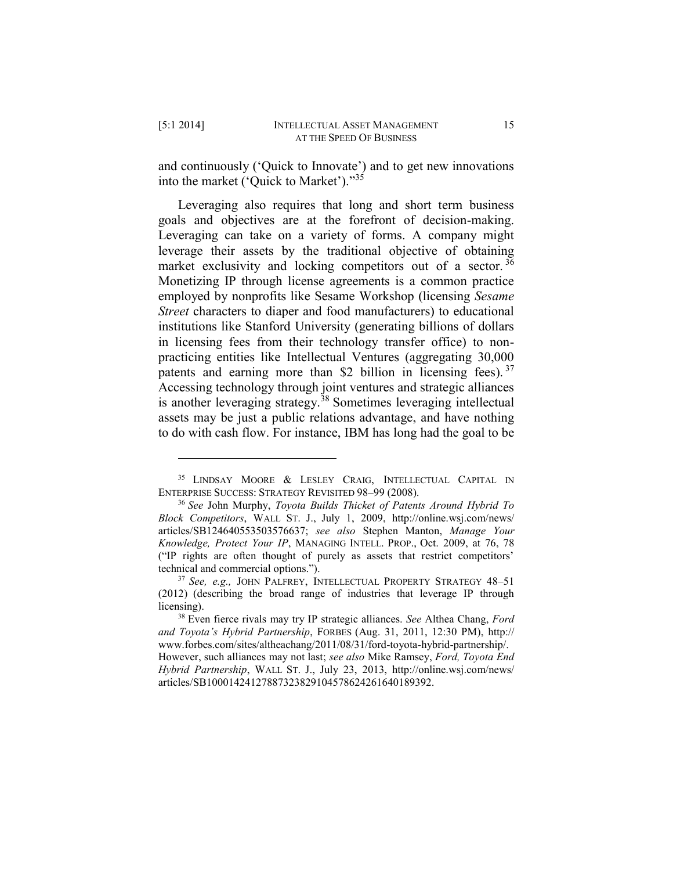and continuously ('Quick to Innovate') and to get new innovations into the market ('Quick to Market')."<sup>35</sup>

Leveraging also requires that long and short term business goals and objectives are at the forefront of decision-making. Leveraging can take on a variety of forms. A company might leverage their assets by the traditional objective of obtaining market exclusivity and locking competitors out of a sector.<sup>36</sup> Monetizing IP through license agreements is a common practice employed by nonprofits like Sesame Workshop (licensing *Sesame Street* characters to diaper and food manufacturers) to educational institutions like Stanford University (generating billions of dollars in licensing fees from their technology transfer office) to nonpracticing entities like Intellectual Ventures (aggregating 30,000 patents and earning more than \$2 billion in licensing fees).<sup>37</sup> Accessing technology through joint ventures and strategic alliances is another leveraging strategy.<sup>38</sup> Sometimes leveraging intellectual assets may be just a public relations advantage, and have nothing to do with cash flow. For instance, IBM has long had the goal to be

<sup>&</sup>lt;sup>35</sup> LINDSAY MOORE & LESLEY CRAIG, INTELLECTUAL CAPITAL IN ENTERPRISE SUCCESS: STRATEGY REVISITED 98–99 (2008).

<sup>36</sup> *See* John Murphy, *Toyota Builds Thicket of Patents Around Hybrid To Block Competitors*, WALL ST. J., July 1, 2009, http://online.wsj.com/news/ articles/SB124640553503576637; *see also* Stephen Manton, *Manage Your Knowledge, Protect Your IP*, MANAGING INTELL. PROP., Oct. 2009, at 76, 78 ("IP rights are often thought of purely as assets that restrict competitors' technical and commercial options.").

<sup>37</sup> *See, e.g.,* JOHN PALFREY, INTELLECTUAL PROPERTY STRATEGY 48–51 (2012) (describing the broad range of industries that leverage IP through licensing).

<sup>38</sup> Even fierce rivals may try IP strategic alliances. *See* Althea Chang, *Ford and Toyota's Hybrid Partnership*, FORBES (Aug. 31, 2011, 12:30 PM), [http://](http://‌/‌www.forbes.com/‌sites/‌altheachang/‌2011/‌08/‌31/‌ford-toyota-hybrid-partnership/) [www.forbes.com/sites/altheachang/2011/08/31/ford-toyota-hybrid-partnership/.](http://‌/‌www.forbes.com/‌sites/‌altheachang/‌2011/‌08/‌31/‌ford-toyota-hybrid-partnership/) However, such alliances may not last; *see also* Mike Ramsey, *Ford, Toyota End Hybrid Partnership*, WALL ST. J., July 23, 2013, http://online.wsj.com/news/ articles/SB10001424127887323829104578624261640189392.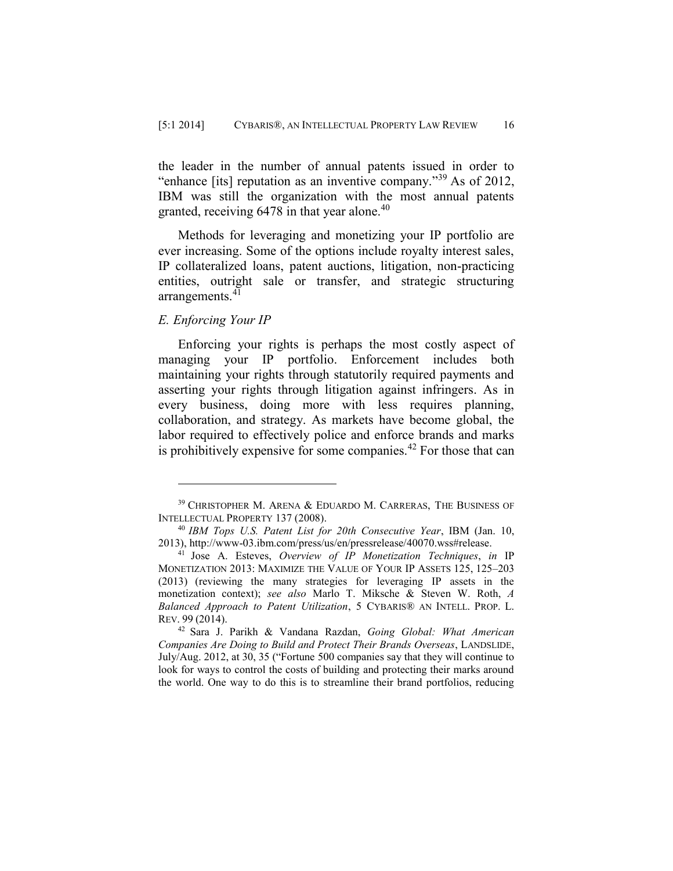the leader in the number of annual patents issued in order to "enhance [its] reputation as an inventive company."<sup>39</sup> As of 2012, IBM was still the organization with the most annual patents granted, receiving  $6478$  in that year alone.<sup>40</sup>

Methods for leveraging and monetizing your IP portfolio are ever increasing. Some of the options include royalty interest sales, IP collateralized loans, patent auctions, litigation, non-practicing entities, outright sale or transfer, and strategic structuring arrangements.<sup>41</sup>

## *E. Enforcing Your IP*

 $\overline{a}$ 

Enforcing your rights is perhaps the most costly aspect of managing your IP portfolio. Enforcement includes both maintaining your rights through statutorily required payments and asserting your rights through litigation against infringers. As in every business, doing more with less requires planning, collaboration, and strategy. As markets have become global, the labor required to effectively police and enforce brands and marks is prohibitively expensive for some companies.<sup>42</sup> For those that can

<sup>39</sup> CHRISTOPHER M. ARENA & EDUARDO M. CARRERAS, THE BUSINESS OF INTELLECTUAL PROPERTY 137 (2008).

<sup>40</sup> *IBM Tops U.S. Patent List for 20th Consecutive Year*, IBM (Jan. 10, 2013), http://www-03.ibm.com/press/us/en/pressrelease/40070.wss#release.

<sup>41</sup> Jose A. Esteves, *Overview of IP Monetization Techniques*, *in* IP MONETIZATION 2013: MAXIMIZE THE VALUE OF YOUR IP ASSETS 125, 125–203 (2013) (reviewing the many strategies for leveraging IP assets in the monetization context); *see also* Marlo T. Miksche & Steven W. Roth, *A Balanced Approach to Patent Utilization*, 5 CYBARIS® AN INTELL. PROP. L. REV. 99 (2014).

<sup>42</sup> Sara J. Parikh & Vandana Razdan, *Going Global: What American Companies Are Doing to Build and Protect Their Brands Overseas*, LANDSLIDE, July/Aug. 2012, at 30, 35 ("Fortune 500 companies say that they will continue to look for ways to control the costs of building and protecting their marks around the world. One way to do this is to streamline their brand portfolios, reducing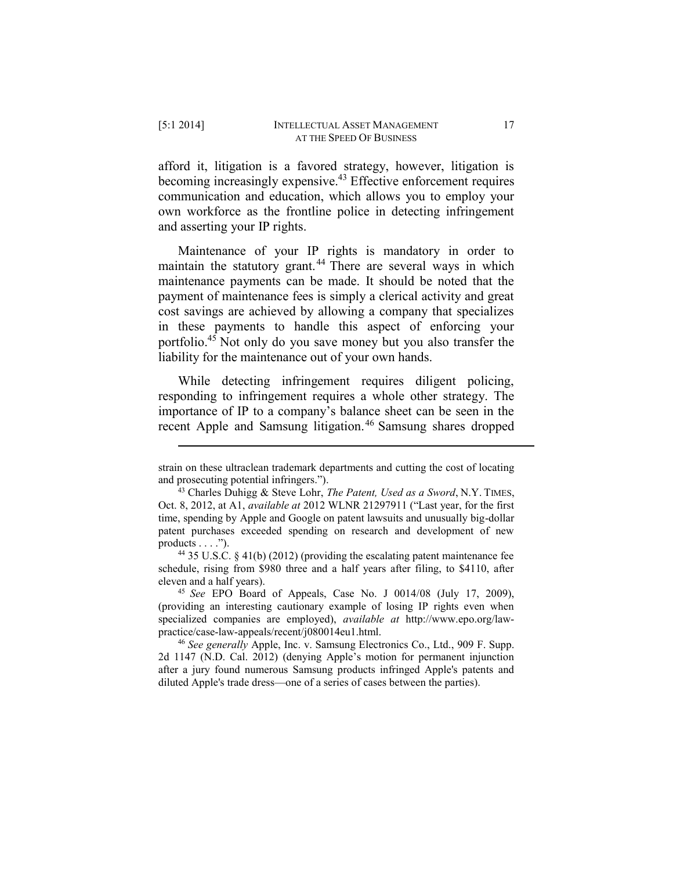afford it, litigation is a favored strategy, however, litigation is becoming increasingly expensive.<sup>43</sup> Effective enforcement requires communication and education, which allows you to employ your own workforce as the frontline police in detecting infringement and asserting your IP rights.

Maintenance of your IP rights is mandatory in order to maintain the statutory grant.<sup>44</sup> There are several ways in which maintenance payments can be made. It should be noted that the payment of maintenance fees is simply a clerical activity and great cost savings are achieved by allowing a company that specializes in these payments to handle this aspect of enforcing your portfolio.<sup>45</sup> Not only do you save money but you also transfer the liability for the maintenance out of your own hands.

While detecting infringement requires diligent policing, responding to infringement requires a whole other strategy. The importance of IP to a company's balance sheet can be seen in the recent Apple and Samsung litigation.<sup>46</sup> Samsung shares dropped

strain on these ultraclean trademark departments and cutting the cost of locating and prosecuting potential infringers.").

<sup>43</sup> Charles Duhigg & Steve Lohr, *The Patent, Used as a Sword*, N.Y. TIMES, Oct. 8, 2012, at A1, *available at* 2012 WLNR 21297911 ("Last year, for the first time, spending by Apple and Google on patent lawsuits and unusually big-dollar patent purchases exceeded spending on research and development of new products  $\dots$ .").

<sup>44</sup> 35 U.S.C. § 41(b) (2012) (providing the escalating patent maintenance fee schedule, rising from \$980 three and a half years after filing, to \$4110, after eleven and a half years).

<sup>45</sup> *See* EPO Board of Appeals, Case No. J 0014/08 (July 17, 2009), (providing an interesting cautionary example of losing IP rights even when specialized companies are employed), *available at* http://www.epo.org/lawpractice/case-law-appeals/recent/j080014eu1.html.

<sup>46</sup> *See generally* Apple, Inc. v. Samsung Electronics Co., Ltd., 909 F. Supp. 2d 1147 (N.D. Cal. 2012) (denying Apple's motion for permanent injunction after a jury found numerous Samsung products infringed Apple's patents and diluted Apple's trade dress—one of a series of cases between the parties).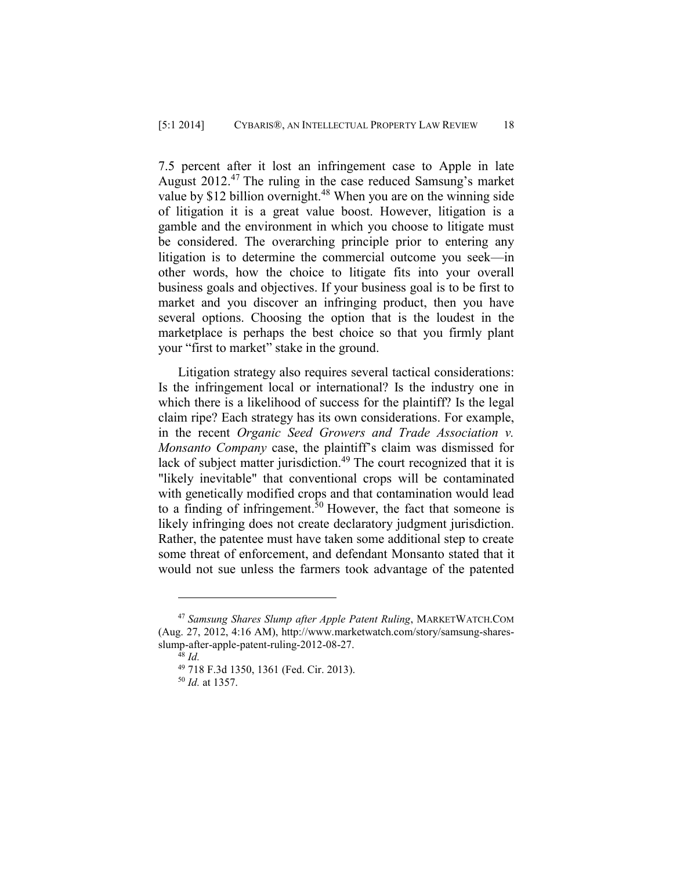7.5 percent after it lost an infringement case to Apple in late August  $2012<sup>47</sup>$  The ruling in the case reduced Samsung's market value by \$12 billion overnight.<sup>48</sup> When you are on the winning side of litigation it is a great value boost. However, litigation is a gamble and the environment in which you choose to litigate must be considered. The overarching principle prior to entering any litigation is to determine the commercial outcome you seek—in other words, how the choice to litigate fits into your overall business goals and objectives. If your business goal is to be first to market and you discover an infringing product, then you have several options. Choosing the option that is the loudest in the marketplace is perhaps the best choice so that you firmly plant your "first to market" stake in the ground.

Litigation strategy also requires several tactical considerations: Is the infringement local or international? Is the industry one in which there is a likelihood of success for the plaintiff? Is the legal claim ripe? Each strategy has its own considerations. For example, in the recent *Organic Seed Growers and Trade Association v. Monsanto Company* case, the plaintiff's claim was dismissed for lack of subject matter jurisdiction.<sup>49</sup> The court recognized that it is "likely inevitable" that conventional crops will be contaminated with genetically modified crops and that contamination would lead to a finding of infringement.<sup>50</sup> However, the fact that someone is likely infringing does not create declaratory judgment jurisdiction. Rather, the patentee must have taken some additional step to create some threat of enforcement, and defendant Monsanto stated that it would not sue unless the farmers took advantage of the patented

<sup>47</sup> *Samsung Shares Slump after Apple Patent Ruling*, MARKETWATCH.COM (Aug. 27, 2012, 4:16 AM), http://www.marketwatch.com/story/samsung-sharesslump-after-apple-patent-ruling-2012-08-27.

<sup>48</sup> *Id.*

<sup>49</sup> 718 F.3d 1350, 1361 (Fed. Cir. 2013).

<sup>50</sup> *Id.* at 1357.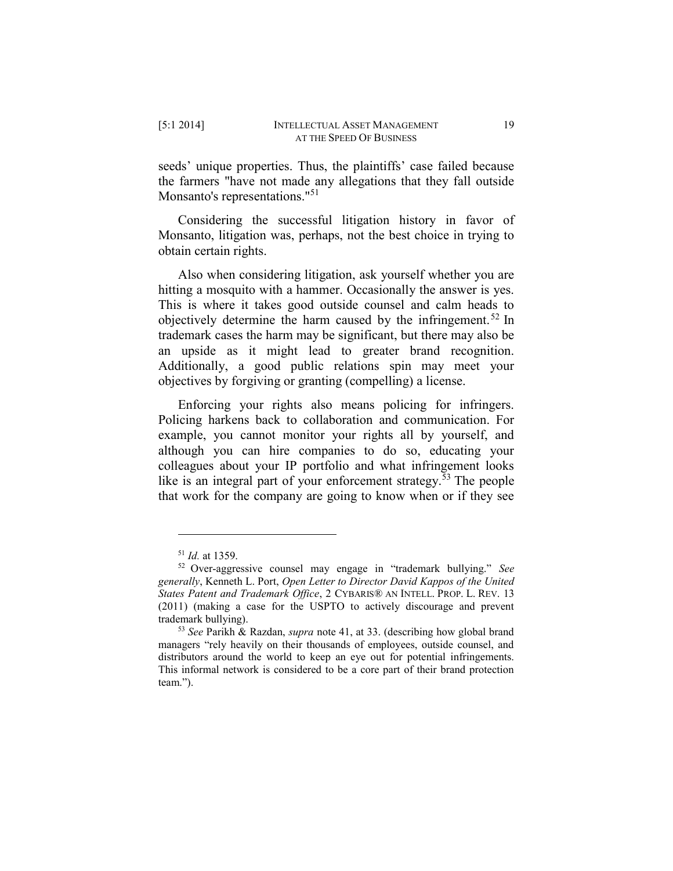seeds' unique properties. Thus, the plaintiffs' case failed because the farmers "have not made any allegations that they fall outside Monsanto's representations."<sup>51</sup>

Considering the successful litigation history in favor of Monsanto, litigation was, perhaps, not the best choice in trying to obtain certain rights.

Also when considering litigation, ask yourself whether you are hitting a mosquito with a hammer. Occasionally the answer is yes. This is where it takes good outside counsel and calm heads to objectively determine the harm caused by the infringement.<sup>52</sup> In trademark cases the harm may be significant, but there may also be an upside as it might lead to greater brand recognition. Additionally, a good public relations spin may meet your objectives by forgiving or granting (compelling) a license.

Enforcing your rights also means policing for infringers. Policing harkens back to collaboration and communication. For example, you cannot monitor your rights all by yourself, and although you can hire companies to do so, educating your colleagues about your IP portfolio and what infringement looks like is an integral part of your enforcement strategy.<sup>53</sup> The people that work for the company are going to know when or if they see

<sup>51</sup> *Id.* at 1359.

<sup>52</sup> Over-aggressive counsel may engage in "trademark bullying." *See generally*, Kenneth L. Port, *Open Letter to Director David Kappos of the United States Patent and Trademark Office*, 2 CYBARIS® AN INTELL. PROP. L. REV. 13 (2011) (making a case for the USPTO to actively discourage and prevent trademark bullying).

<sup>53</sup> *See* Parikh & Razdan, *supra* note 41, at 33. (describing how global brand managers "rely heavily on their thousands of employees, outside counsel, and distributors around the world to keep an eye out for potential infringements. This informal network is considered to be a core part of their brand protection team.").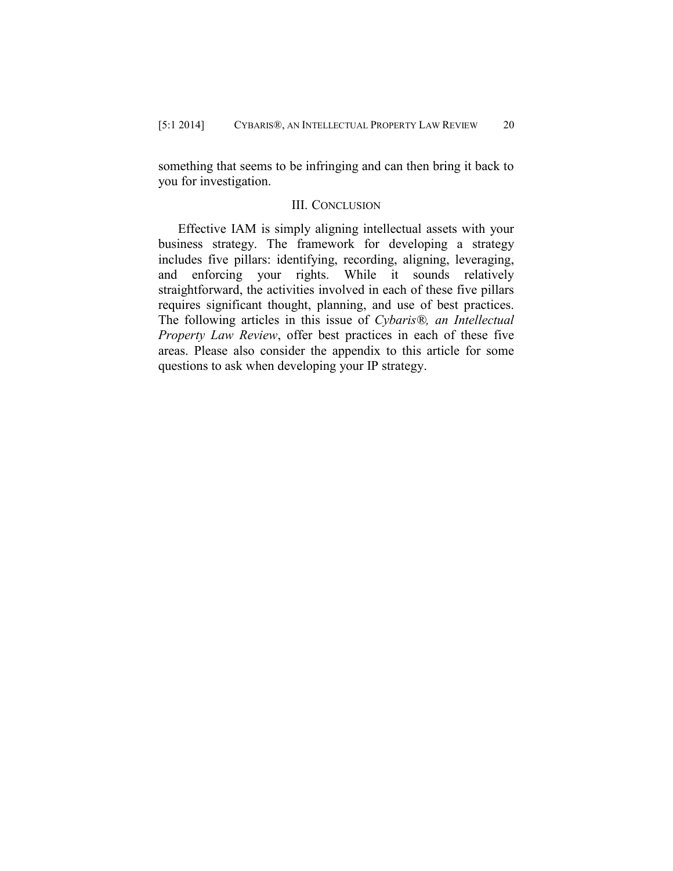something that seems to be infringing and can then bring it back to you for investigation.

## III. CONCLUSION

Effective IAM is simply aligning intellectual assets with your business strategy. The framework for developing a strategy includes five pillars: identifying, recording, aligning, leveraging, and enforcing your rights. While it sounds relatively straightforward, the activities involved in each of these five pillars requires significant thought, planning, and use of best practices. The following articles in this issue of *Cybaris®, an Intellectual Property Law Review*, offer best practices in each of these five areas. Please also consider the appendix to this article for some questions to ask when developing your IP strategy.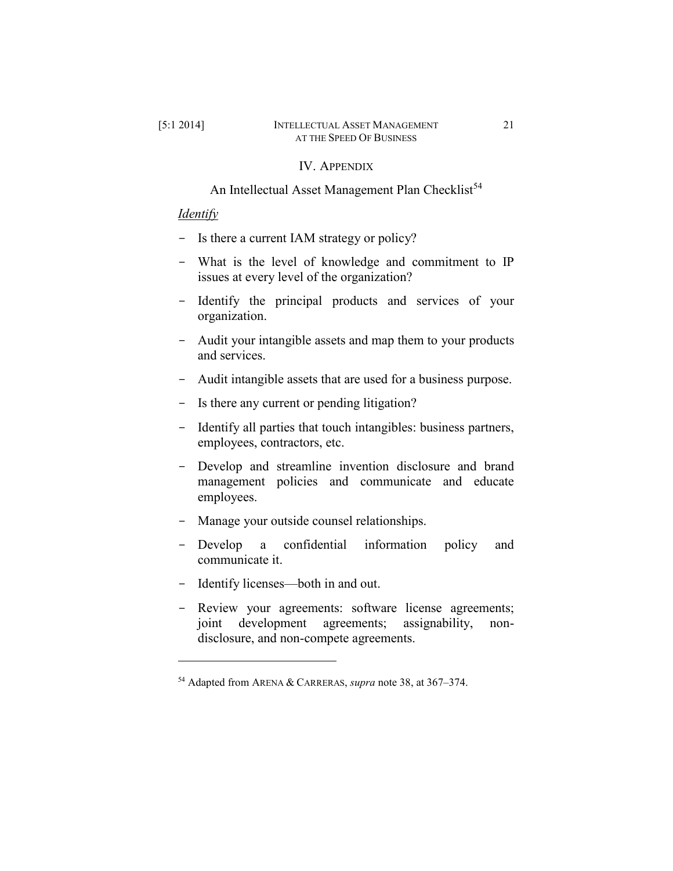## IV. APPENDIX

An Intellectual Asset Management Plan Checklist<sup>54</sup>

## *Identify*

- Is there a current IAM strategy or policy?
- What is the level of knowledge and commitment to IP issues at every level of the organization?
- Identify the principal products and services of your organization.
- Audit your intangible assets and map them to your products and services.
- Audit intangible assets that are used for a business purpose.
- Is there any current or pending litigation?
- Identify all parties that touch intangibles: business partners, employees, contractors, etc.
- Develop and streamline invention disclosure and brand management policies and communicate and educate employees.
- Manage your outside counsel relationships.
- Develop a confidential information policy and communicate it.
- Identify licenses—both in and out.
- Review your agreements: software license agreements; joint development agreements; assignability, nondisclosure, and non-compete agreements.

<sup>54</sup> Adapted from ARENA & CARRERAS, *supra* note 38, at 367–374.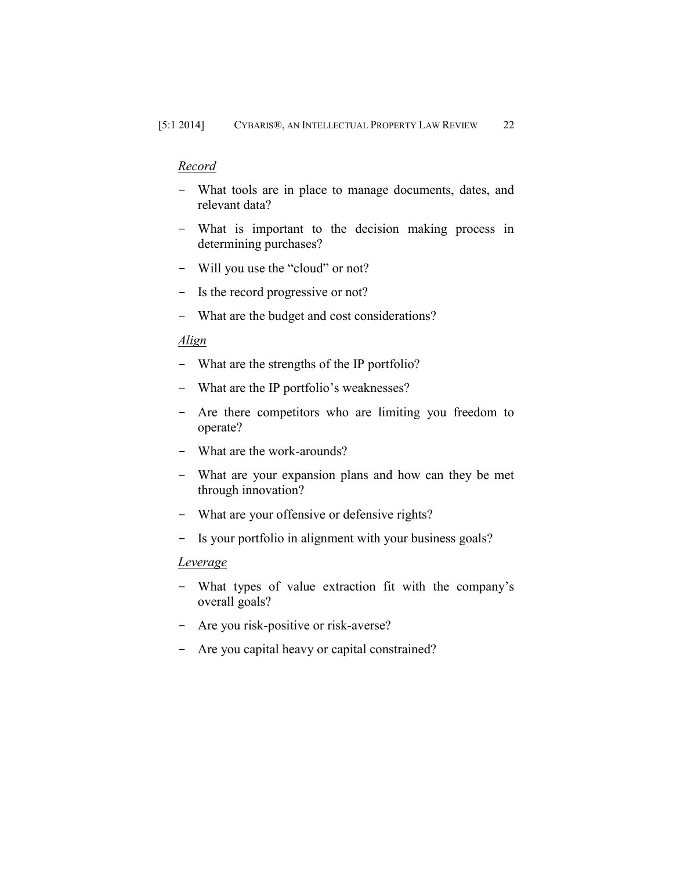## *Record*

- What tools are in place to manage documents, dates, and relevant data?
- What is important to the decision making process in determining purchases?
- Will you use the "cloud" or not?
- Is the record progressive or not?
- What are the budget and cost considerations?

## *Align*

- What are the strengths of the IP portfolio?
- What are the IP portfolio's weaknesses?
- Are there competitors who are limiting you freedom to operate?
- What are the work-arounds?
- What are your expansion plans and how can they be met through innovation?
- What are your offensive or defensive rights?
- Is your portfolio in alignment with your business goals?

## *Leverage*

- What types of value extraction fit with the company's overall goals?
- Are you risk-positive or risk-averse?
- Are you capital heavy or capital constrained?